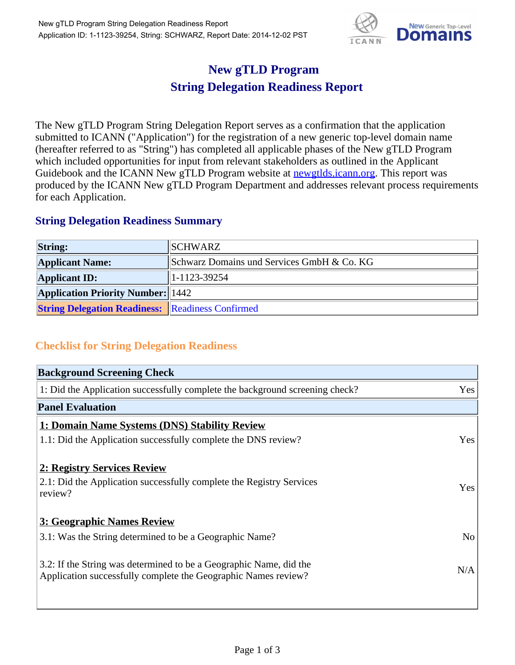

## **New gTLD Program String Delegation Readiness Report**

The New gTLD Program String Delegation Report serves as a confirmation that the application submitted to ICANN ("Application") for the registration of a new generic top-level domain name (hereafter referred to as "String") has completed all applicable phases of the New gTLD Program which included opportunities for input from relevant stakeholders as outlined in the Applicant Guidebook and the ICANN New gTLD Program website at **newgtlds.icann.org**. This report was produced by the ICANN New gTLD Program Department and addresses relevant process requirements for each Application.

## **String Delegation Readiness Summary**

| <b>String:</b>                                          | SCHWARZ                                    |
|---------------------------------------------------------|--------------------------------------------|
| <b>Applicant Name:</b>                                  | Schwarz Domains und Services GmbH & Co. KG |
| <b>Applicant ID:</b>                                    | 1-1123-39254                               |
| <b>Application Priority Number: 1442</b>                |                                            |
| <b>String Delegation Readiness:</b> Readiness Confirmed |                                            |

## **Checklist for String Delegation Readiness**

| <b>Background Screening Check</b>                                               |     |
|---------------------------------------------------------------------------------|-----|
| 1: Did the Application successfully complete the background screening check?    | Yes |
| <b>Panel Evaluation</b>                                                         |     |
| 1: Domain Name Systems (DNS) Stability Review                                   |     |
| 1.1: Did the Application successfully complete the DNS review?                  | Yes |
|                                                                                 |     |
| 2: Registry Services Review                                                     |     |
| 2.1: Did the Application successfully complete the Registry Services<br>review? | Yes |
|                                                                                 |     |
| 3: Geographic Names Review                                                      |     |
| 3.1: Was the String determined to be a Geographic Name?                         | No  |
|                                                                                 |     |
| 3.2: If the String was determined to be a Geographic Name, did the              | N/A |
| Application successfully complete the Geographic Names review?                  |     |
|                                                                                 |     |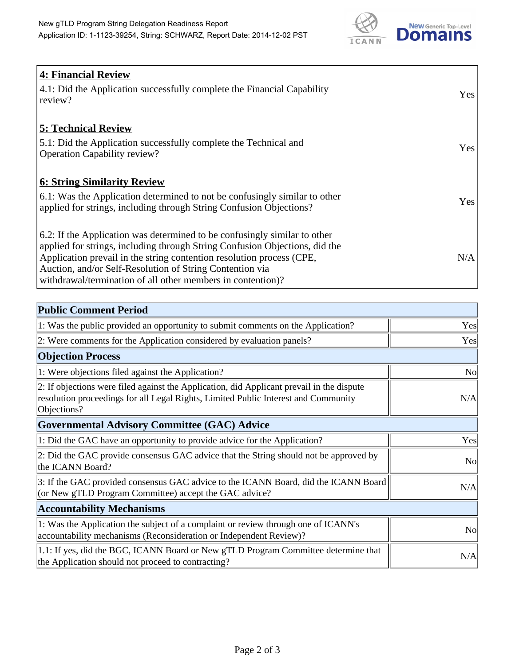

| <b>4: Financial Review</b><br>4.1: Did the Application successfully complete the Financial Capability<br>review?                                                                                                                                                                                                                                             | Yes |
|--------------------------------------------------------------------------------------------------------------------------------------------------------------------------------------------------------------------------------------------------------------------------------------------------------------------------------------------------------------|-----|
| <b>5: Technical Review</b><br>5.1: Did the Application successfully complete the Technical and<br><b>Operation Capability review?</b>                                                                                                                                                                                                                        | Yes |
| <u><b>6: String Similarity Review</b></u><br>6.1: Was the Application determined to not be confusingly similar to other<br>applied for strings, including through String Confusion Objections?                                                                                                                                                               | Yes |
| 6.2: If the Application was determined to be confusingly similar to other<br>applied for strings, including through String Confusion Objections, did the<br>Application prevail in the string contention resolution process (CPE,<br>Auction, and/or Self-Resolution of String Contention via<br>withdrawal/termination of all other members in contention)? | N/A |

| <b>Public Comment Period</b>                                                                                                                                                                   |                |
|------------------------------------------------------------------------------------------------------------------------------------------------------------------------------------------------|----------------|
| 1: Was the public provided an opportunity to submit comments on the Application?                                                                                                               | Yes            |
| 2: Were comments for the Application considered by evaluation panels?                                                                                                                          | Yes            |
| <b>Objection Process</b>                                                                                                                                                                       |                |
| 1: Were objections filed against the Application?                                                                                                                                              | N <sub>o</sub> |
| 2: If objections were filed against the Application, did Applicant prevail in the dispute<br>resolution proceedings for all Legal Rights, Limited Public Interest and Community<br>Objections? | N/A            |
| Governmental Advisory Committee (GAC) Advice                                                                                                                                                   |                |
| 1: Did the GAC have an opportunity to provide advice for the Application?                                                                                                                      | Yes            |
| 2: Did the GAC provide consensus GAC advice that the String should not be approved by<br>the ICANN Board?                                                                                      | <b>No</b>      |
| 3: If the GAC provided consensus GAC advice to the ICANN Board, did the ICANN Board<br>(or New gTLD Program Committee) accept the GAC advice?                                                  | N/A            |
| <b>Accountability Mechanisms</b>                                                                                                                                                               |                |
| 1: Was the Application the subject of a complaint or review through one of ICANN's<br>accountability mechanisms (Reconsideration or Independent Review)?                                       | <b>No</b>      |
| 1.1: If yes, did the BGC, ICANN Board or New gTLD Program Committee determine that<br>the Application should not proceed to contracting?                                                       | N/A            |